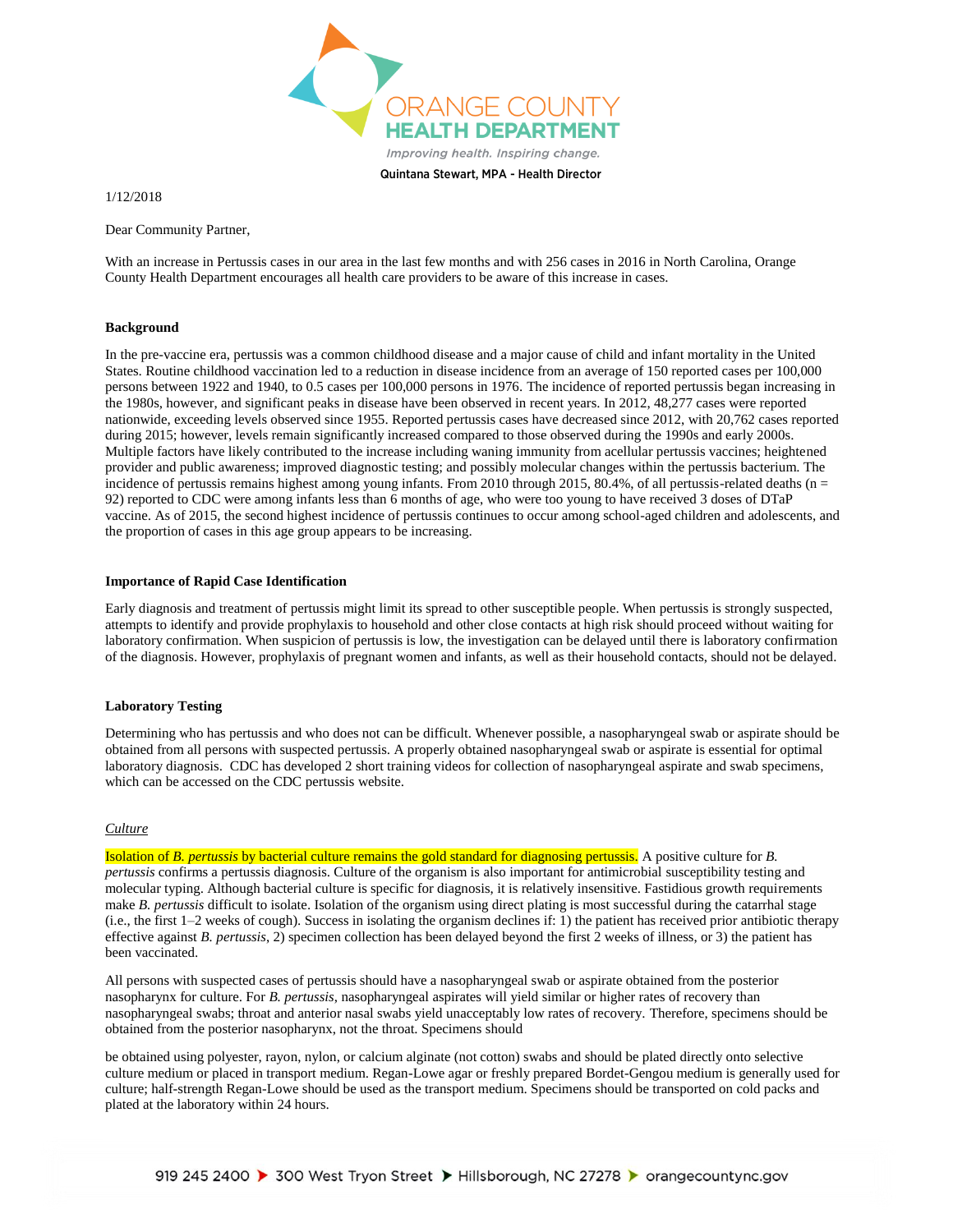

Quintana Stewart, MPA - Health Director

1/12/2018

Dear Community Partner,

With an increase in Pertussis cases in our area in the last few months and with 256 cases in 2016 in North Carolina, Orange County Health Department encourages all health care providers to be aware of this increase in cases.

### **Background**

In the pre-vaccine era, pertussis was a common childhood disease and a major cause of child and infant mortality in the United States. Routine childhood vaccination led to a reduction in disease incidence from an average of 150 reported cases per 100,000 persons between 1922 and 1940, to 0.5 cases per 100,000 persons in 1976. The incidence of reported pertussis began increasing in the 1980s, however, and significant peaks in disease have been observed in recent years. In 2012, 48,277 cases were reported nationwide, exceeding levels observed since 1955. Reported pertussis cases have decreased since 2012, with 20,762 cases reported during 2015; however, levels remain significantly increased compared to those observed during the 1990s and early 2000s. Multiple factors have likely contributed to the increase including waning immunity from acellular pertussis vaccines; heightened provider and public awareness; improved diagnostic testing; and possibly molecular changes within the pertussis bacterium. The incidence of pertussis remains highest among young infants. From 2010 through 2015, 80.4%, of all pertussis-related deaths ( $n =$ 92) reported to CDC were among infants less than 6 months of age, who were too young to have received 3 doses of DTaP vaccine. As of 2015, the second highest incidence of pertussis continues to occur among school-aged children and adolescents, and the proportion of cases in this age group appears to be increasing.

### **Importance of Rapid Case Identification**

Early diagnosis and treatment of pertussis might limit its spread to other susceptible people. When pertussis is strongly suspected, attempts to identify and provide prophylaxis to household and other close contacts at high risk should proceed without waiting for laboratory confirmation. When suspicion of pertussis is low, the investigation can be delayed until there is laboratory confirmation of the diagnosis. However, prophylaxis of pregnant women and infants, as well as their household contacts, should not be delayed.

### **Laboratory Testing**

Determining who has pertussis and who does not can be difficult. Whenever possible, a nasopharyngeal swab or aspirate should be obtained from all persons with suspected pertussis. A properly obtained nasopharyngeal swab or aspirate is essential for optimal laboratory diagnosis. CDC has developed 2 short training videos for collection of nasopharyngeal aspirate and swab specimens, which can be accessed on the CDC pertussis website.

# *Culture*

Isolation of *B. pertussis* by bacterial culture remains the gold standard for diagnosing pertussis. A positive culture for *B. pertussis* confirms a pertussis diagnosis. Culture of the organism is also important for antimicrobial susceptibility testing and molecular typing. Although bacterial culture is specific for diagnosis, it is relatively insensitive. Fastidious growth requirements make *B. pertussis* difficult to isolate. Isolation of the organism using direct plating is most successful during the catarrhal stage (i.e., the first 1–2 weeks of cough). Success in isolating the organism declines if: 1) the patient has received prior antibiotic therapy effective against *B. pertussis*, 2) specimen collection has been delayed beyond the first 2 weeks of illness, or 3) the patient has been vaccinated.

All persons with suspected cases of pertussis should have a nasopharyngeal swab or aspirate obtained from the posterior nasopharynx for culture. For *B. pertussis*, nasopharyngeal aspirates will yield similar or higher rates of recovery than nasopharyngeal swabs; throat and anterior nasal swabs yield unacceptably low rates of recovery. Therefore, specimens should be obtained from the posterior nasopharynx, not the throat. Specimens should

be obtained using polyester, rayon, nylon, or calcium alginate (not cotton) swabs and should be plated directly onto selective culture medium or placed in transport medium. Regan-Lowe agar or freshly prepared Bordet-Gengou medium is generally used for culture; half-strength Regan-Lowe should be used as the transport medium. Specimens should be transported on cold packs and plated at the laboratory within 24 hours.